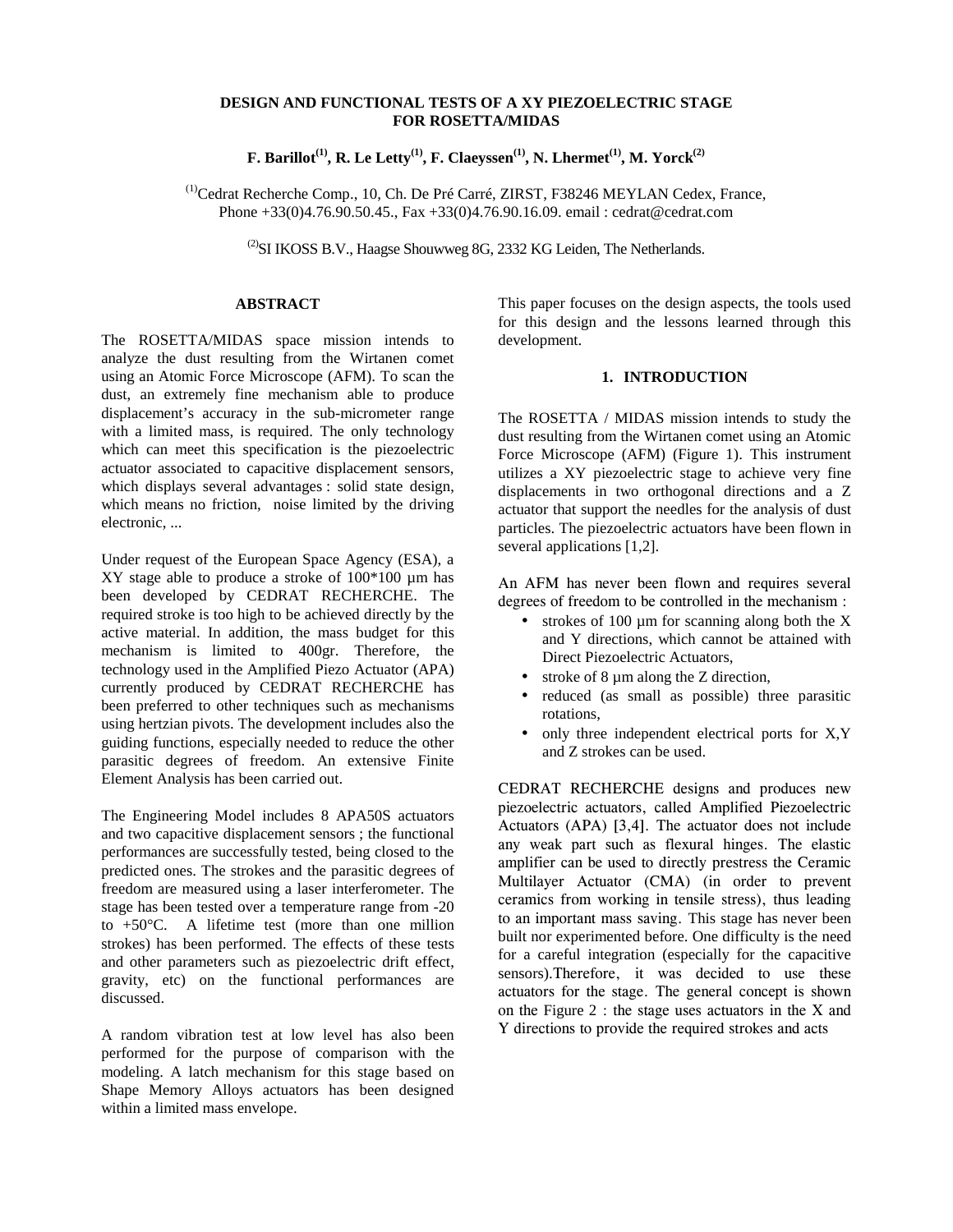# **DESIGN AND FUNCTIONAL TESTS OF A XY PIEZOELECTRIC STAGE FOR ROSETTA/MIDAS**

**F. Barillot<sup>(1)</sup>, R. Le Letty<sup>(1)</sup>, F. Claeyssen<sup>(1)</sup>, N. Lhermet<sup>(1)</sup>, M. Yorck<sup>(2)</sup>** 

(1)Cedrat Recherche Comp., 10, Ch. De Pré Carré, ZIRST, F38246 MEYLAN Cedex, France, Phone +33(0)4.76.90.50.45., Fax +33(0)4.76.90.16.09. email : cedrat@cedrat.com

 $^{(2)}$ SI IKOSS B.V., Haagse Shouwweg 8G, 2332 KG Leiden, The Netherlands.

### **ABSTRACT**

The ROSETTA/MIDAS space mission intends to analyze the dust resulting from the Wirtanen comet using an Atomic Force Microscope (AFM). To scan the dust, an extremely fine mechanism able to produce displacement's accuracy in the sub-micrometer range with a limited mass, is required. The only technology which can meet this specification is the piezoelectric actuator associated to capacitive displacement sensors, which displays several advantages : solid state design, which means no friction, noise limited by the driving electronic, ...

Under request of the European Space Agency (ESA), a XY stage able to produce a stroke of 100\*100 µm has been developed by CEDRAT RECHERCHE. The required stroke is too high to be achieved directly by the active material. In addition, the mass budget for this mechanism is limited to 400gr. Therefore, the technology used in the Amplified Piezo Actuator (APA) currently produced by CEDRAT RECHERCHE has been preferred to other techniques such as mechanisms using hertzian pivots. The development includes also the guiding functions, especially needed to reduce the other parasitic degrees of freedom. An extensive Finite Element Analysis has been carried out.

The Engineering Model includes 8 APA50S actuators and two capacitive displacement sensors ; the functional performances are successfully tested, being closed to the predicted ones. The strokes and the parasitic degrees of freedom are measured using a laser interferometer. The stage has been tested over a temperature range from -20 to  $+50^{\circ}$ C. A lifetime test (more than one million strokes) has been performed. The effects of these tests and other parameters such as piezoelectric drift effect, gravity, etc) on the functional performances are discussed.

A random vibration test at low level has also been performed for the purpose of comparison with the modeling. A latch mechanism for this stage based on Shape Memory Alloys actuators has been designed within a limited mass envelope.

This paper focuses on the design aspects, the tools used for this design and the lessons learned through this development.

## **1. INTRODUCTION**

The ROSETTA / MIDAS mission intends to study the dust resulting from the Wirtanen comet using an Atomic Force Microscope (AFM) (Figure 1). This instrument utilizes a XY piezoelectric stage to achieve very fine displacements in two orthogonal directions and a Z actuator that support the needles for the analysis of dust particles. The piezoelectric actuators have been flown in several applications [1,2].

An AFM has never been flown and requires several degrees of freedom to be controlled in the mechanism :

- strokes of 100  $\mu$ m for scanning along both the X and Y directions, which cannot be attained with Direct Piezoelectric Actuators,
- stroke of 8 µm along the Z direction,
- reduced (as small as possible) three parasitic rotations,
- only three independent electrical ports for X,Y and Z strokes can be used.

CEDRAT RECHERCHE designs and produces new piezoelectric actuators, called Amplified Piezoelectric Actuators  $(APA)$  [3,4]. The actuator does not include any weak part such as flexural hinges. The elastic amplifier can be used to directly prestress the Ceramic Multilayer Actuator (CMA) (in order to prevent ceramics from working in tensile stress), thus leading to an important mass saving. This stage has never been built nor experimented before. One difficulty is the need for a careful integration (especially for the capacitive sensors).Therefore, it was decided to use these actuators for the stage. The general concept is shown on the Figure 2 : the stage uses actuators in the X and Y directions to provide the required strokes and acts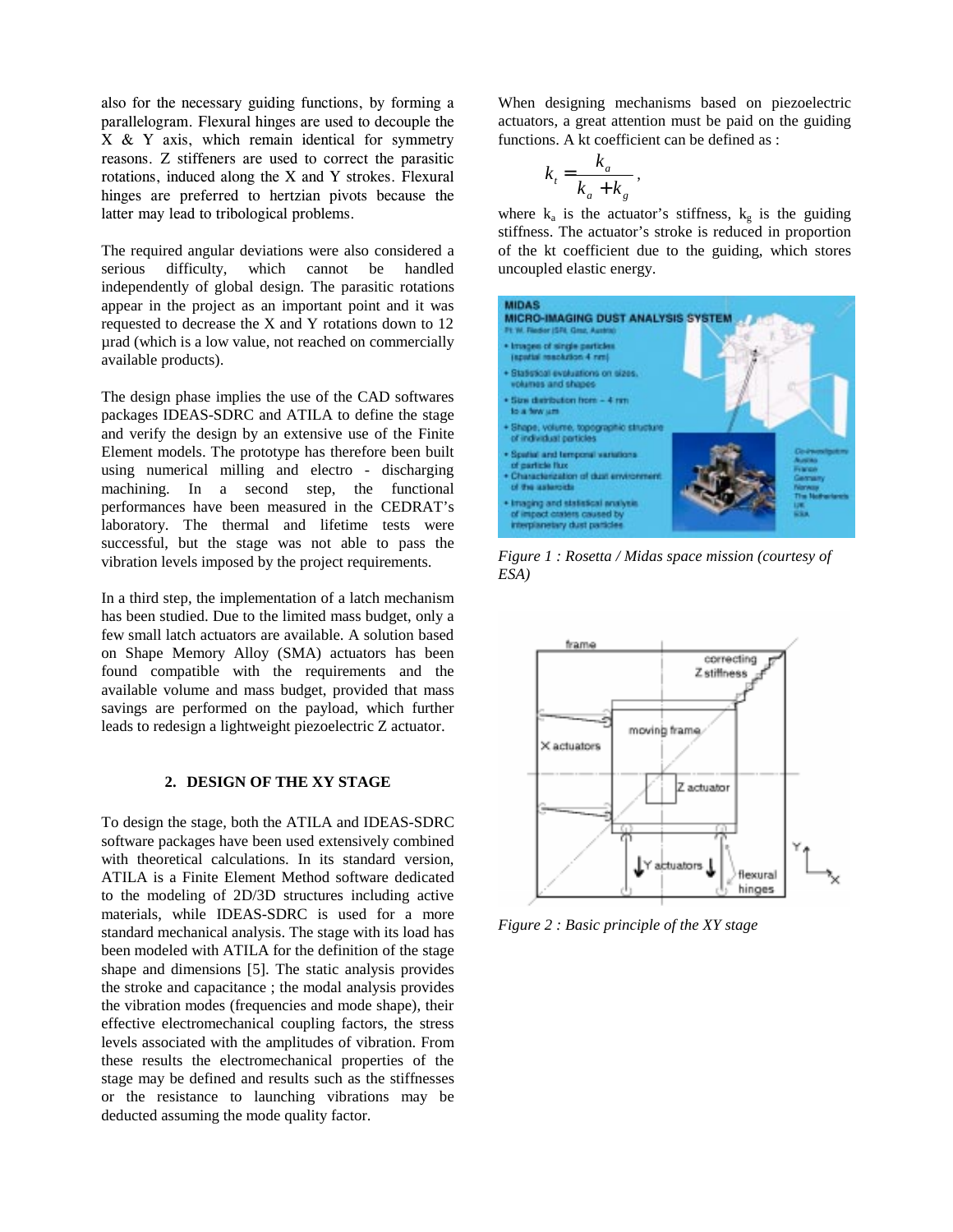also for the necessary guiding functions, by forming a parallelogram. Flexural hinges are used to decouple the  $X \& Y$  axis, which remain identical for symmetry reasons. Z stiffeners are used to correct the parasitic rotations, induced along the  $X$  and  $Y$  strokes. Flexural hinges are preferred to hertzian pivots because the latter may lead to tribological problems.

The required angular deviations were also considered a serious difficulty, which cannot be handled independently of global design. The parasitic rotations appear in the project as an important point and it was requested to decrease the X and Y rotations down to 12 µrad (which is a low value, not reached on commercially available products).

The design phase implies the use of the CAD softwares packages IDEAS-SDRC and ATILA to define the stage and verify the design by an extensive use of the Finite Element models. The prototype has therefore been built using numerical milling and electro - discharging machining. In a second step, the functional performances have been measured in the CEDRAT's laboratory. The thermal and lifetime tests were successful, but the stage was not able to pass the vibration levels imposed by the project requirements.

In a third step, the implementation of a latch mechanism has been studied. Due to the limited mass budget, only a few small latch actuators are available. A solution based on Shape Memory Alloy (SMA) actuators has been found compatible with the requirements and the available volume and mass budget, provided that mass savings are performed on the payload, which further leads to redesign a lightweight piezoelectric Z actuator.

## **2. DESIGN OF THE XY STAGE**

To design the stage, both the ATILA and IDEAS-SDRC software packages have been used extensively combined with theoretical calculations. In its standard version, ATILA is a Finite Element Method software dedicated to the modeling of 2D/3D structures including active materials, while IDEAS-SDRC is used for a more standard mechanical analysis. The stage with its load has been modeled with ATILA for the definition of the stage shape and dimensions [5]. The static analysis provides the stroke and capacitance ; the modal analysis provides the vibration modes (frequencies and mode shape), their effective electromechanical coupling factors, the stress levels associated with the amplitudes of vibration. From these results the electromechanical properties of the stage may be defined and results such as the stiffnesses or the resistance to launching vibrations may be deducted assuming the mode quality factor.

When designing mechanisms based on piezoelectric actuators, a great attention must be paid on the guiding functions. A kt coefficient can be defined as :

$$
k_t = \frac{k_a}{k_a + k_g},
$$

where  $k_a$  is the actuator's stiffness,  $k_g$  is the guiding stiffness. The actuator's stroke is reduced in proportion of the kt coefficient due to the guiding, which stores uncoupled elastic energy.



*Figure 1 : Rosetta / Midas space mission (courtesy of ESA)*



*Figure 2 : Basic principle of the XY stage*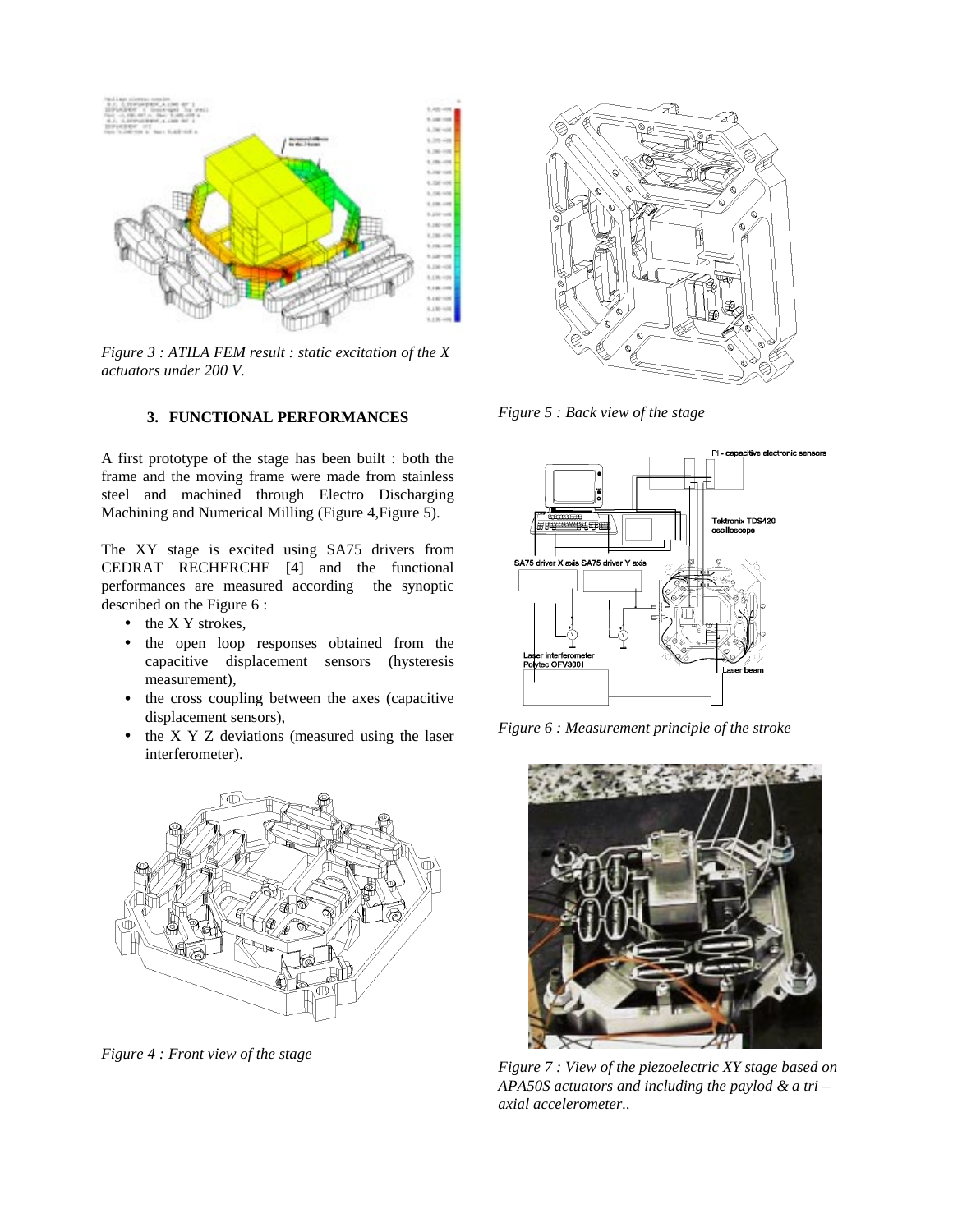

*Figure 3 : ATILA FEM result : static excitation of the X actuators under 200 V.*

## **3. FUNCTIONAL PERFORMANCES**

A first prototype of the stage has been built : both the frame and the moving frame were made from stainless steel and machined through Electro Discharging Machining and Numerical Milling (Figure 4, Figure 5).

The XY stage is excited using SA75 drivers from CEDRAT RECHERCHE [4] and the functional performances are measured according the synoptic described on the Figure 6 :

- the X Y strokes,
- the open loop responses obtained from the capacitive displacement sensors (hysteresis measurement),
- the cross coupling between the axes (capacitive displacement sensors),
- the X Y Z deviations (measured using the laser interferometer).



*Figure 4 : Front view of the stage*



*Figure 5 : Back view of the stage*



*Figure 6 : Measurement principle of the stroke*



*Figure 7 : View of the piezoelectric XY stage based on APA50S actuators and including the paylod & a tri – axial accelerometer..*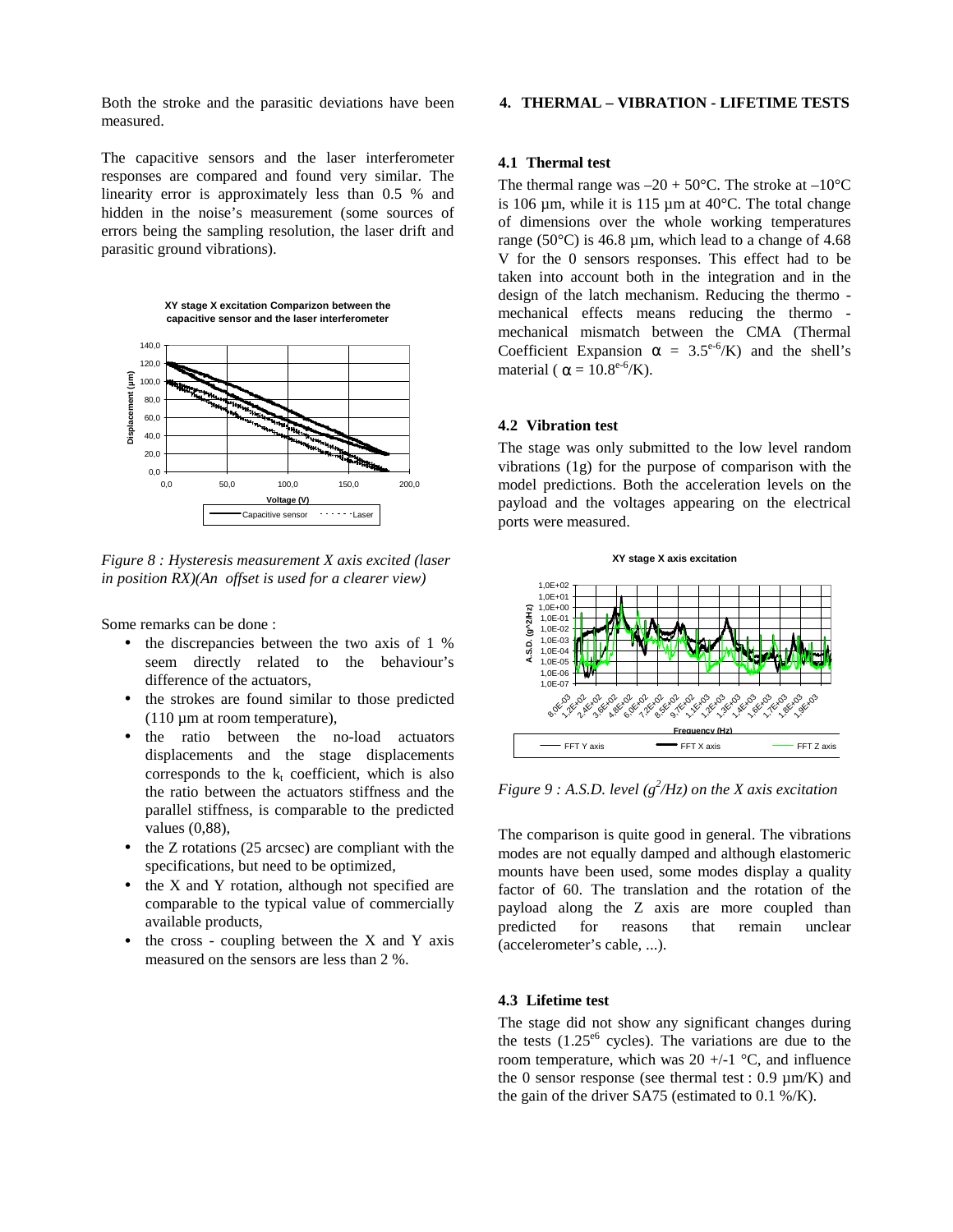Both the stroke and the parasitic deviations have been measured.

The capacitive sensors and the laser interferometer responses are compared and found very similar. The linearity error is approximately less than 0.5 % and hidden in the noise's measurement (some sources of errors being the sampling resolution, the laser drift and parasitic ground vibrations).

**XY stage X excitation Comparizon between the capacitive sensor and the laser interferometer**



*Figure 8 : Hysteresis measurement X axis excited (laser in position RX)(An offset is used for a clearer view)*

Some remarks can be done :

- the discrepancies between the two axis of 1 % seem directly related to the behaviour's difference of the actuators,
- the strokes are found similar to those predicted  $(110 \mu m)$  at room temperature),
- the ratio between the no-load actuators displacements and the stage displacements corresponds to the  $k_t$  coefficient, which is also the ratio between the actuators stiffness and the parallel stiffness, is comparable to the predicted values (0,88),
- the Z rotations (25 arcsec) are compliant with the specifications, but need to be optimized,
- the X and Y rotation, although not specified are comparable to the typical value of commercially available products,
- the cross coupling between the  $X$  and  $Y$  axis measured on the sensors are less than 2 %.

# **4. THERMAL – VIBRATION - LIFETIME TESTS**

### **4.1 Thermal test**

The thermal range was  $-20 + 50^{\circ}$ C. The stroke at  $-10^{\circ}$ C is 106  $\mu$ m, while it is 115  $\mu$ m at 40°C. The total change of dimensions over the whole working temperatures range (50 $^{\circ}$ C) is 46.8 µm, which lead to a change of 4.68 V for the 0 sensors responses. This effect had to be taken into account both in the integration and in the design of the latch mechanism. Reducing the thermo mechanical effects means reducing the thermo mechanical mismatch between the CMA (Thermal Coefficient Expansion  $\alpha = 3.5^{\circ.6}$ /K) and the shell's material ( $\alpha = 10.8^{\circ.6}$ /K).

#### **4.2 Vibration test**

The stage was only submitted to the low level random vibrations (1g) for the purpose of comparison with the model predictions. Both the acceleration levels on the payload and the voltages appearing on the electrical ports were measured.



*Figure* 9 : A.S.D. level ( $g^2/Hz$ ) on the X axis excitation

The comparison is quite good in general. The vibrations modes are not equally damped and although elastomeric mounts have been used, some modes display a quality factor of 60. The translation and the rotation of the payload along the Z axis are more coupled than predicted for reasons that remain unclear (accelerometer's cable, ...).

# **4.3 Lifetime test**

The stage did not show any significant changes during the tests  $(1.25<sup>06</sup>$  cycles). The variations are due to the room temperature, which was  $20 +1$  °C, and influence the 0 sensor response (see thermal test :  $0.9 \mu m/K$ ) and the gain of the driver SA75 (estimated to 0.1 %/K).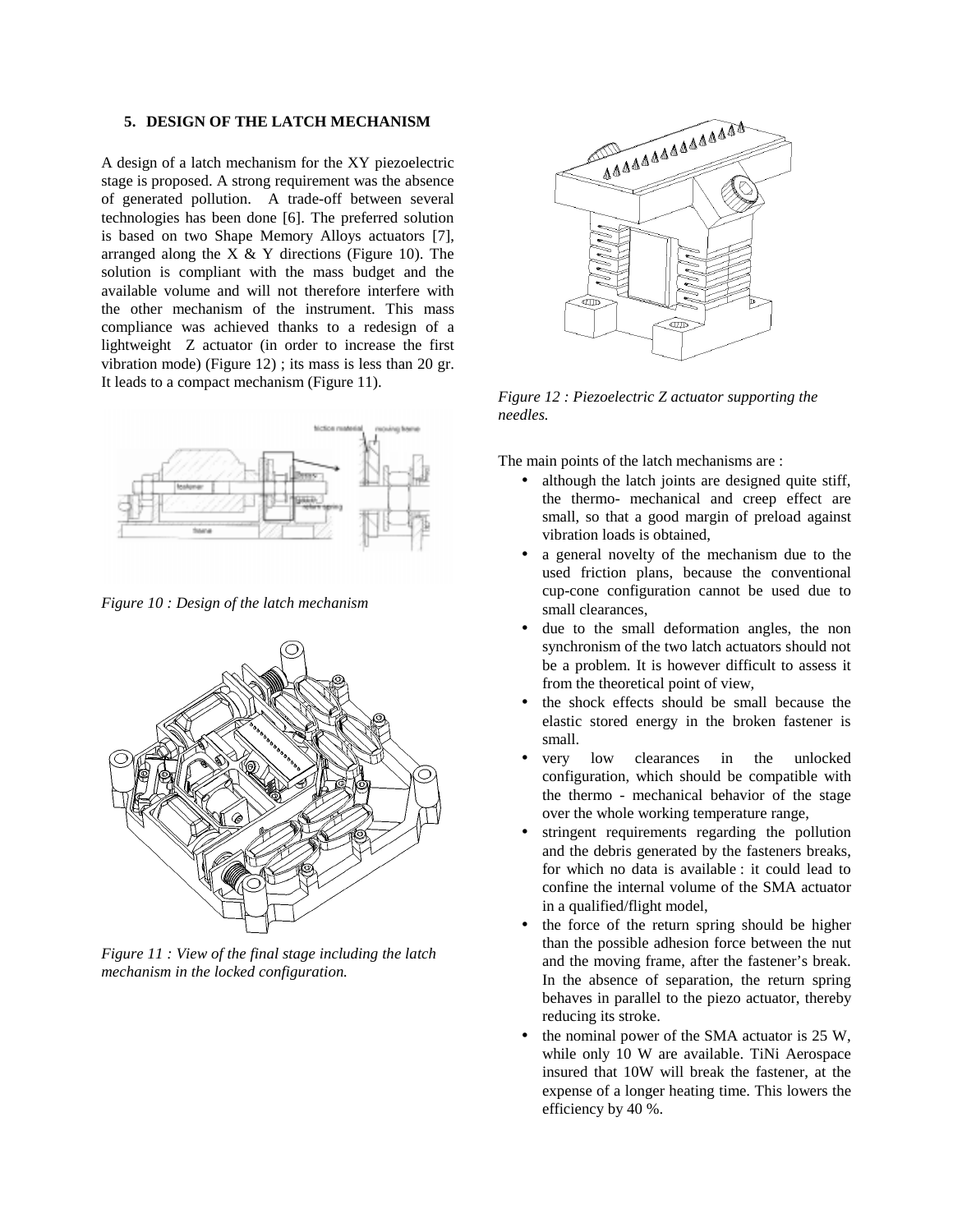#### **5. DESIGN OF THE LATCH MECHANISM**

A design of a latch mechanism for the XY piezoelectric stage is proposed. A strong requirement was the absence of generated pollution. A trade-off between several technologies has been done [6]. The preferred solution is based on two Shape Memory Alloys actuators [7], arranged along the  $X \& Y$  directions (Figure 10). The solution is compliant with the mass budget and the available volume and will not therefore interfere with the other mechanism of the instrument. This mass compliance was achieved thanks to a redesign of a lightweight Z actuator (in order to increase the first vibration mode) (Figure 12) ; its mass is less than 20 gr. It leads to a compact mechanism (Figure 11).



*Figure 10 : Design of the latch mechanism*



*Figure 11 : View of the final stage including the latch mechanism in the locked configuration.*



*Figure 12 : Piezoelectric Z actuator supporting the needles.*

The main points of the latch mechanisms are :

- although the latch joints are designed quite stiff, the thermo- mechanical and creep effect are small, so that a good margin of preload against vibration loads is obtained,
- a general novelty of the mechanism due to the used friction plans, because the conventional cup-cone configuration cannot be used due to small clearances,
- due to the small deformation angles, the non synchronism of the two latch actuators should not be a problem. It is however difficult to assess it from the theoretical point of view,
- the shock effects should be small because the elastic stored energy in the broken fastener is small.
- very low clearances in the unlocked configuration, which should be compatible with the thermo - mechanical behavior of the stage over the whole working temperature range,
- stringent requirements regarding the pollution and the debris generated by the fasteners breaks, for which no data is available : it could lead to confine the internal volume of the SMA actuator in a qualified/flight model,
- the force of the return spring should be higher than the possible adhesion force between the nut and the moving frame, after the fastener's break. In the absence of separation, the return spring behaves in parallel to the piezo actuator, thereby reducing its stroke.
- the nominal power of the SMA actuator is 25 W, while only 10 W are available. TiNi Aerospace insured that 10W will break the fastener, at the expense of a longer heating time. This lowers the efficiency by 40 %.